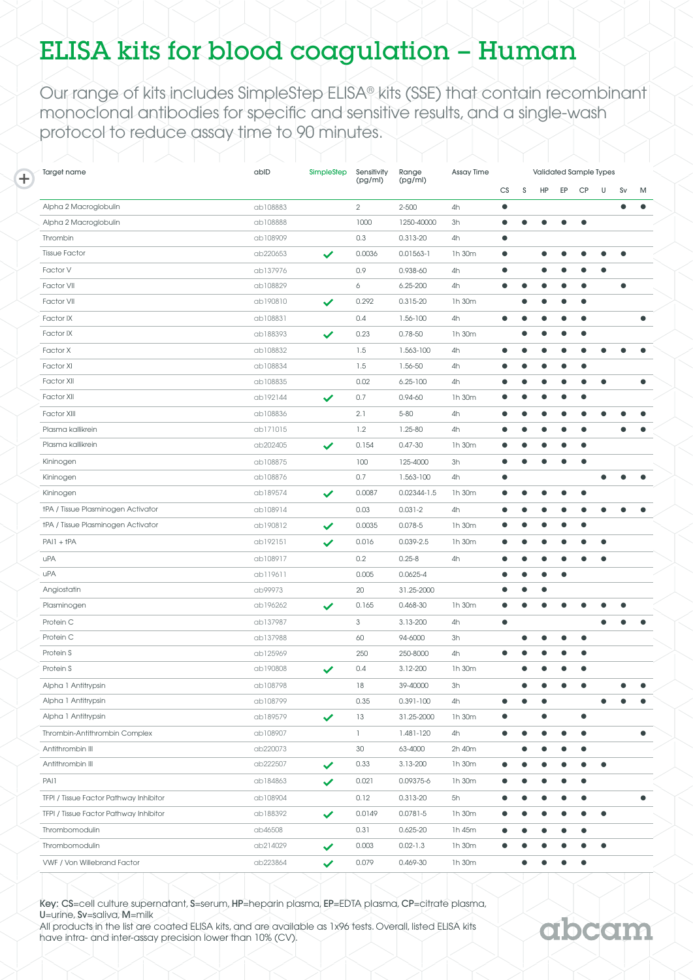## ELISA kits for blood coagulation – Human

Our range of kits includes [SimpleStep ELISA® kits](http://www.abcam.com/kits/simplestep-elisa-kits) (SSE) that contain recombinant monoclonal antibodies for specific and sensitive results, and a single-wash protocol to reduce assay time to 90 minutes.

| Target name                            | ablD     | SimpleStep   |              | Range           | Assay Time | Validated Sample Types |           |           |           |           |           |           |           |
|----------------------------------------|----------|--------------|--------------|-----------------|------------|------------------------|-----------|-----------|-----------|-----------|-----------|-----------|-----------|
|                                        |          |              | (pg/ml)      | (pg/ml)         |            | CS                     | S         | HP        | EP        | <b>CP</b> | U         | Sv        | M         |
| Alpha 2 Macroglobulin                  | ab108883 |              | $\mathbf{2}$ | $2 - 500$       | 4h         | $\bullet$              |           |           |           |           |           | $\bullet$ | $\bullet$ |
| Alpha 2 Macroglobulin                  | ab108888 |              | 1000         | 1250-40000      | 3h         | $\bullet$              |           |           |           | $\bullet$ |           |           |           |
| Thrombin                               | ab108909 |              | 0.3          | 0.313-20        | 4h         | $\bullet$              |           |           |           |           |           |           |           |
| <b>Tissue Factor</b>                   | ab220653 | ✓            | 0.0036       | $0.01563 - 1$   | 1h 30m     | $\bullet$              |           |           |           |           | ●         | $\bullet$ |           |
| Factor V                               | ab137976 |              | 0.9          | 0.938-60        | 4h         | $\bullet$              |           |           |           |           | $\bullet$ |           |           |
| Factor VII                             | ab108829 |              | 6            | $6.25 - 200$    | 4h         | $\bullet$              | $\bullet$ | <b>.</b>  |           | $\bullet$ |           | $\bullet$ |           |
| Factor VII                             | ab190810 | $\checkmark$ | 0.292        | 0.315-20        | 1h 30m     |                        | $\bullet$ |           | $\bullet$ | $\bullet$ |           |           |           |
| Factor IX                              | ab108831 |              | 0.4          | 1.56-100        | 4h         | $\bullet$              |           |           |           | $\bullet$ |           |           | ٠         |
| Factor IX                              | ab188393 | $\checkmark$ | 0.23         | $0.78 - 50$     | 1h 30m     |                        | $\bullet$ | O         | ٠         | $\bullet$ |           |           |           |
| Factor X                               | ab108832 |              | 1.5          | 1.563-100       | 4h         |                        | G         |           |           | $\bullet$ |           |           |           |
| Factor XI                              | ab108834 |              | 1.5          | 1.56-50         | 4h         |                        |           |           |           | $\bullet$ |           |           |           |
| Factor XII                             | ab108835 |              | 0.02         | $6.25 - 100$    | 4h         |                        |           |           |           | e         | $\bullet$ |           | $\bullet$ |
| Factor XII                             | ab192144 | $\checkmark$ | 0.7          | 0.94-60         | 1h 30m     | $\bullet$              |           |           |           | $\bullet$ |           |           |           |
| <b>Factor XIII</b>                     | ab108836 |              | 2.1          | $5 - 80$        | 4h         | $\bullet$              | ٠         | O         | ٠         | e         |           |           |           |
| Plasma kallikrein                      | ab171015 |              | 1.2          | $1.25 - 80$     | 4h         | 0                      |           |           |           | $\bullet$ |           |           |           |
| Plasma kallikrein                      | ab202405 | $\checkmark$ | 0.154        | $0.47 - 30$     | 1h 30m     | $\bullet$              |           |           |           | $\bullet$ |           |           |           |
| Kininogen                              | ab108875 |              | 100          | 125-4000        | 3h         | $\bullet$              | $\bullet$ |           |           | $\bullet$ |           |           |           |
| Kininogen                              | ab108876 |              | 0.7          | 1.563-100       | 4h         | $\bullet$              |           |           |           |           |           |           |           |
| Kininogen                              | ab189574 | $\checkmark$ | 0.0087       | $0.02344 - 1.5$ | 1h 30m     | $\bullet$              |           |           |           | $\bullet$ |           |           |           |
| tPA / Tissue Plasminogen Activator     | ab108914 |              | 0.03         | $0.031 - 2$     | 4h         | $\bullet$              | 0         |           |           | $\bullet$ | $\bullet$ |           |           |
| tPA / Tissue Plasminogen Activator     | ab190812 | ✓            | 0.0035       | $0.078 - 5$     | 1h 30m     | $\bullet$              | G         |           |           | $\bullet$ |           |           |           |
| $PAII + tPA$                           | ab192151 | $\checkmark$ | 0.016        | 0.039-2.5       | 1h 30m     | $\bullet$              | $\bullet$ |           |           |           | $\bullet$ |           |           |
| uPA                                    | ab108917 |              | 0.2          | $0.25 - 8$      | 4h         | $\bullet$              | $\bullet$ | <b>.</b>  | $\bullet$ | $\bullet$ | $\bullet$ |           |           |
| uPA                                    | ab119611 |              | 0.005        | $0.0625 - 4$    |            |                        | $\bullet$ | <b>.</b>  | $\bullet$ |           |           |           |           |
| Angiostatin                            | ab99973  |              | 20           | 31.25-2000      |            | $\bullet$              | c         |           |           |           |           |           |           |
| Plasminogen                            | ab196262 | $\checkmark$ | 0.165        | 0.468-30        | 1h 30m     | $\bullet$              |           |           | $\bullet$ |           |           |           |           |
| Protein C                              | ab137987 |              | 3            | 3.13-200        | 4h         | $\bullet$              |           |           |           |           | $\bullet$ |           |           |
| Protein C                              | ab137988 |              | 60           | 94-6000         | 3h         |                        |           |           |           | $\bullet$ |           |           |           |
| Protein S                              | ab125969 |              | 250          | 250-8000        | 4h         | ٠                      |           |           |           | $\bullet$ |           |           |           |
| Protein S                              | ab190808 | ✓            | 0.4          | 3.12-200        | 1h 30m     |                        | $\bullet$ | O         | $\bullet$ | $\bullet$ |           |           |           |
| Alpha 1 Antitrypsin                    | ab108798 |              | 18           | 39-40000        | 3h         |                        |           |           |           |           |           |           |           |
| Alpha 1 Antitrypsin                    | ab108799 |              | 0.35         | 0.391-100       | 4h         |                        |           |           |           |           |           |           |           |
| Alpha 1 Antitrypsin                    | ab189579 | ✓            | 13           | 31.25-2000      | 1h 30m     | $\bullet$              |           | $\bullet$ |           | $\bullet$ |           |           |           |
| Thrombin-Antithrombin Complex          | ab108907 |              | $\mathbb{L}$ | 1.481-120       | 4h         | $\bullet$              | $\bullet$ | $\bullet$ | $\bullet$ | $\bullet$ |           |           | $\bullet$ |
| Antithrombin III                       | ab220073 |              | 30           | 63-4000         | 2h 40m     |                        |           |           |           | $\bullet$ |           |           |           |
| Antithrombin III                       | ab222507 | ✓            | 0.33         | 3.13-200        | 1h 30m     |                        |           |           |           | $\bullet$ | $\bullet$ |           |           |
| PAI1                                   | ab184863 | $\checkmark$ | 0.021        | 0.09375-6       | 1h 30m     |                        |           |           |           | $\bullet$ |           |           |           |
| TFPI / Tissue Factor Pathway Inhibitor | ab108904 |              | 0.12         | 0.313-20        | 5h         |                        |           |           |           | $\bullet$ |           |           | $\bullet$ |
| TFPI / Tissue Factor Pathway Inhibitor | ab188392 | $\checkmark$ | 0.0149       | $0.0781 - 5$    | 1h 30m     |                        |           |           |           | e         | $\bullet$ |           |           |
| Thrombomodulin                         | ab46508  |              | 0.31         | $0.625 - 20$    | 1h 45m     |                        |           |           |           | $\bullet$ |           |           |           |
| Thrombomodulin                         | ab214029 | $\checkmark$ | 0.003        | $0.02 - 1.3$    | 1h 30m     |                        |           |           |           | $\bullet$ | $\bullet$ |           |           |
| VWF / Von Willebrand Factor            | ab223864 | $\checkmark$ | 0.079        | 0.469-30        | 1h 30m     |                        |           |           |           | $\bullet$ |           |           |           |

**Notifial** 

Key: CS=cell culture supernatant, S=serum, HP=heparin plasma, EP=EDTA plasma, CP=citrate plasma, U=urine, Sv=saliva, M=milk All products in the list are coated ELISA kits, and are available as 1x96 tests. Overall, listed ELISA kits

have intra- and inter-assay precision lower than 10% (CV).